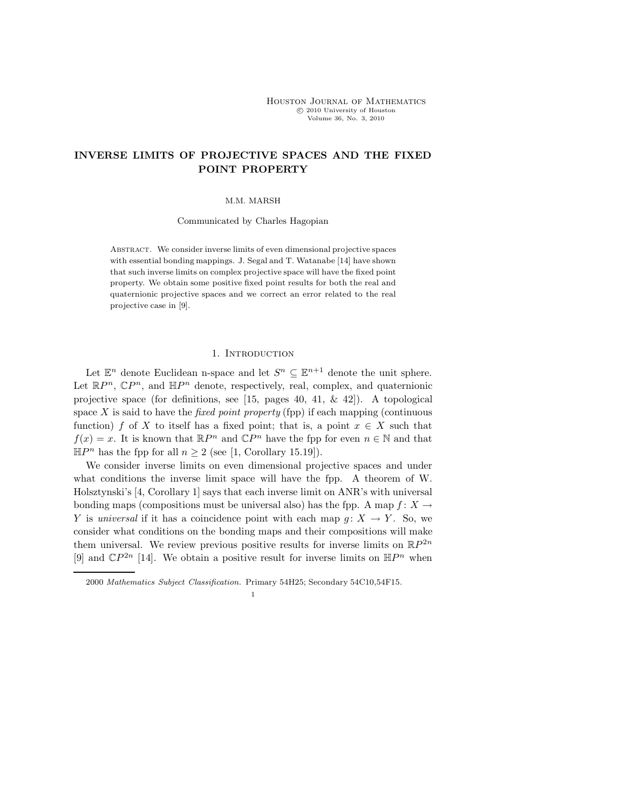## INVERSE LIMITS OF PROJECTIVE SPACES AND THE FIXED POINT PROPERTY

M.M. MARSH

Communicated by Charles Hagopian

Abstract. We consider inverse limits of even dimensional projective spaces with essential bonding mappings. J. Segal and T. Watanabe [14] have shown that such inverse limits on complex projective space will have the fixed point property. We obtain some positive fixed point results for both the real and quaternionic projective spaces and we correct an error related to the real projective case in [9].

## 1. INTRODUCTION

Let  $\mathbb{E}^n$  denote Euclidean n-space and let  $S^n \subseteq \mathbb{E}^{n+1}$  denote the unit sphere. Let  $\mathbb{R}P^n$ ,  $\mathbb{C}P^n$ , and  $\mathbb{H}P^n$  denote, respectively, real, complex, and quaternionic projective space (for definitions, see [15, pages 40, 41,  $\&$  42]). A topological space X is said to have the *fixed point property* (fpp) if each mapping (continuous function) f of X to itself has a fixed point; that is, a point  $x \in X$  such that  $f(x) = x$ . It is known that  $\mathbb{R}P^n$  and  $\mathbb{C}P^n$  have the fpp for even  $n \in \mathbb{N}$  and that  $\mathbb{H}P^n$  has the fpp for all  $n \geq 2$  (see [1, Corollary 15.19]).

We consider inverse limits on even dimensional projective spaces and under what conditions the inverse limit space will have the fpp. A theorem of W. Holsztynski's [4, Corollary 1] says that each inverse limit on ANR's with universal bonding maps (compositions must be universal also) has the fpp. A map  $f: X \to$ Y is universal if it has a coincidence point with each map  $g: X \to Y$ . So, we consider what conditions on the bonding maps and their compositions will make them universal. We review previous positive results for inverse limits on  $\mathbb{R}P^{2n}$ [9] and  $\mathbb{C}P^{2n}$  [14]. We obtain a positive result for inverse limits on  $\mathbb{H}P^n$  when

<sup>2000</sup> Mathematics Subject Classification. Primary 54H25; Secondary 54C10,54F15.

<sup>1</sup>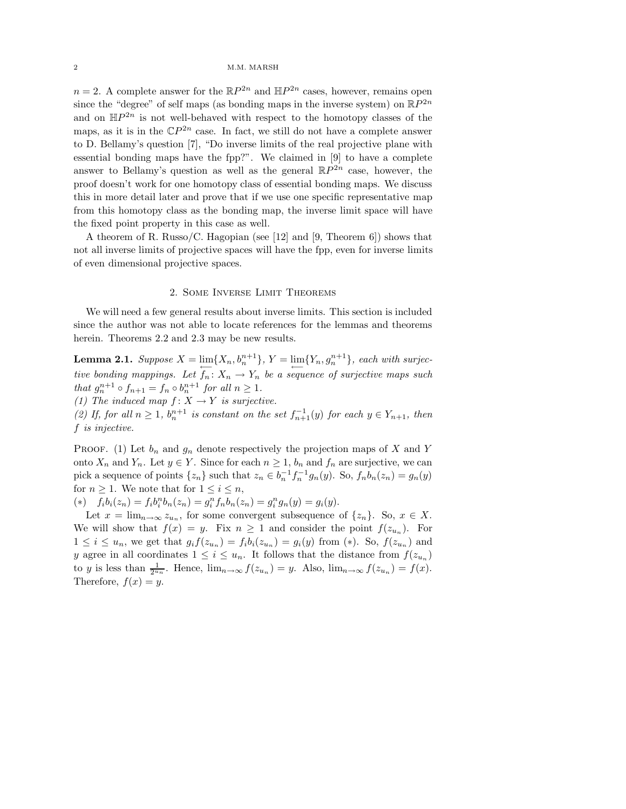$n = 2$ . A complete answer for the  $\mathbb{R}P^{2n}$  and  $\mathbb{H}P^{2n}$  cases, however, remains open since the "degree" of self maps (as bonding maps in the inverse system) on  $\mathbb{R}P^{2n}$ and on  $\mathbb{H}P^{2n}$  is not well-behaved with respect to the homotopy classes of the maps, as it is in the  $\mathbb{C}P^{2n}$  case. In fact, we still do not have a complete answer to D. Bellamy's question [7], "Do inverse limits of the real projective plane with essential bonding maps have the fpp?". We claimed in [9] to have a complete answer to Bellamy's question as well as the general  $\mathbb{R}P^{2n}$  case, however, the proof doesn't work for one homotopy class of essential bonding maps. We discuss this in more detail later and prove that if we use one specific representative map from this homotopy class as the bonding map, the inverse limit space will have the fixed point property in this case as well.

A theorem of R. Russo/C. Hagopian (see [12] and [9, Theorem 6]) shows that not all inverse limits of projective spaces will have the fpp, even for inverse limits of even dimensional projective spaces.

## 2. Some Inverse Limit Theorems

We will need a few general results about inverse limits. This section is included since the author was not able to locate references for the lemmas and theorems herein. Theorems 2.2 and 2.3 may be new results.

**Lemma 2.1.** Suppose  $X = \lim_{n \to \infty} \{X_n, b_n^{n+1}\}, Y = \lim_{n \to \infty} \{Y_n, g_n^{n+1}\},$  each with surjective bonding mappings. Let  $f_n: X_n \to Y_n$  be a sequence of surjective maps such that  $g_n^{n+1} \circ f_{n+1} = f_n \circ b_n^{n+1}$  for all  $n \ge 1$ .

(1) The induced map  $f: X \to Y$  is surjective.

(2) If, for all  $n \geq 1$ ,  $b_n^{n+1}$  is constant on the set  $f_{n+1}^{-1}(y)$  for each  $y \in Y_{n+1}$ , then f is injective.

PROOF. (1) Let  $b_n$  and  $g_n$  denote respectively the projection maps of X and Y onto  $X_n$  and  $Y_n$ . Let  $y \in Y$ . Since for each  $n \geq 1$ ,  $b_n$  and  $f_n$  are surjective, we can pick a sequence of points  $\{z_n\}$  such that  $z_n \in b_n^{-1} f_n^{-1} g_n(y)$ . So,  $f_n b_n(z_n) = g_n(y)$ for  $n \geq 1$ . We note that for  $1 \leq i \leq n$ ,

(\*)  $f_i b_i(z_n) = f_i b_i^n b_n(z_n) = g_i^n f_n b_n(z_n) = g_i^n g_n(y) = g_i(y)$ .

Let  $x = \lim_{n \to \infty} z_{u_n}$ , for some convergent subsequence of  $\{z_n\}$ . So,  $x \in X$ . We will show that  $f(x) = y$ . Fix  $n \ge 1$  and consider the point  $f(z_{u_n})$ . For  $1 \leq i \leq u_n$ , we get that  $g_i f(z_{u_n}) = f_i b_i(z_{u_n}) = g_i(y)$  from (\*). So,  $f(z_{u_n})$  and y agree in all coordinates  $1 \leq i \leq u_n$ . It follows that the distance from  $f(z_{u_n})$ to y is less than  $\frac{1}{2^{u_n}}$ . Hence,  $\lim_{n\to\infty} f(z_{u_n}) = y$ . Also,  $\lim_{n\to\infty} f(z_{u_n}) = f(x)$ . Therefore,  $f(x) = y$ .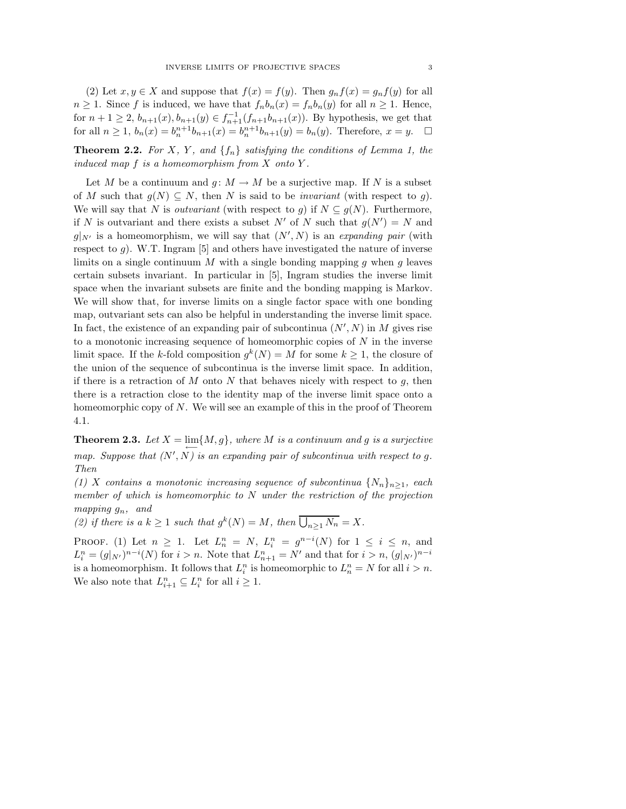(2) Let  $x, y \in X$  and suppose that  $f(x) = f(y)$ . Then  $g_n f(x) = g_n f(y)$  for all  $n \geq 1$ . Since f is induced, we have that  $f_n b_n(x) = f_n b_n(y)$  for all  $n \geq 1$ . Hence, for  $n+1 \geq 2$ ,  $b_{n+1}(x)$ ,  $b_{n+1}(y) \in f_{n+1}^{-1}(f_{n+1}b_{n+1}(x))$ . By hypothesis, we get that for all  $n \ge 1$ ,  $b_n(x) = b_n^{n+1} b_{n+1}(x) = b_n^{n+1} b_{n+1}(y) = b_n(y)$ . Therefore,  $x = y$ .  $\Box$ 

**Theorem 2.2.** For X, Y, and  $\{f_n\}$  satisfying the conditions of Lemma 1, the induced map  $f$  is a homeomorphism from  $X$  onto  $Y$ .

Let M be a continuum and  $g: M \to M$  be a surjective map. If N is a subset of M such that  $g(N) \subseteq N$ , then N is said to be *invariant* (with respect to g). We will say that N is *outvariant* (with respect to g) if  $N \subseteq g(N)$ . Furthermore, if N is outvariant and there exists a subset N' of N such that  $g(N') = N$  and  $g|_{N'}$  is a homeomorphism, we will say that  $(N', N)$  is an expanding pair (with respect to  $g$ ). W.T. Ingram [5] and others have investigated the nature of inverse limits on a single continuum  $M$  with a single bonding mapping  $g$  when  $g$  leaves certain subsets invariant. In particular in [5], Ingram studies the inverse limit space when the invariant subsets are finite and the bonding mapping is Markov. We will show that, for inverse limits on a single factor space with one bonding map, outvariant sets can also be helpful in understanding the inverse limit space. In fact, the existence of an expanding pair of subcontinua  $(N', N)$  in M gives rise to a monotonic increasing sequence of homeomorphic copies of  $N$  in the inverse limit space. If the k-fold composition  $g^k(N) = M$  for some  $k \geq 1$ , the closure of the union of the sequence of subcontinua is the inverse limit space. In addition, if there is a retraction of  $M$  onto  $N$  that behaves nicely with respect to  $g$ , then there is a retraction close to the identity map of the inverse limit space onto a homeomorphic copy of  $N$ . We will see an example of this in the proof of Theorem 4.1.

**Theorem 2.3.** Let  $X = \lim_{n \to \infty} \{M, g\}$ , where M is a continuum and g is a surjective map. Suppose that  $(N', N)$  is an expanding pair of subcontinua with respect to g. Then

(1) X contains a monotonic increasing sequence of subcontinua  $\{N_n\}_{n>1}$ , each member of which is homeomorphic to N under the restriction of the projection mapping  $q_n$ , and

(2) if there is a  $k \geq 1$  such that  $g^k(N) = M$ , then  $\overline{\bigcup_{n \geq 1} N_n} = X$ .

PROOF. (1) Let  $n \geq 1$ . Let  $L_n^n = N$ ,  $L_i^n = g^{n-i}(N)$  for  $1 \leq i \leq n$ , and  $L_i^n = (g|_{N'})^{n-i}(N)$  for  $i > n$ . Note that  $L_{n+1}^n = N'$  and that for  $i > n$ ,  $(g|_{N'})^{n-i}$ is a homeomorphism. It follows that  $L_i^n$  is homeomorphic to  $L_n^n = N$  for all  $i > n$ . We also note that  $L_{i+1}^n \subseteq L_i^n$  for all  $i \geq 1$ .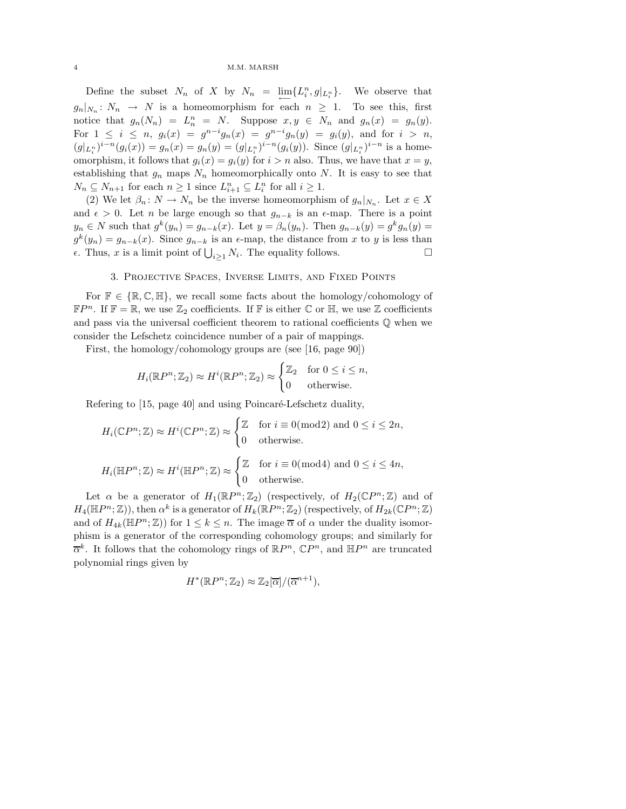## 4 M.M. MARSH

Define the subset  $N_n$  of X by  $N_n = \lim_{n \to \infty} \{L_i^n, g|_{L_i^n}\}.$  We observe that  $g_n|_{N_n}: N_n \to N$  is a homeomorphism for each  $n \geq 1$ . To see this, first notice that  $g_n(N_n) = L_n^n = N$ . Suppose  $x, y \in N_n$  and  $g_n(x) = g_n(y)$ . For  $1 \leq i \leq n$ ,  $g_i(x) = g^{n-i}g_n(x) = g^{n-i}g_n(y) = g_i(y)$ , and for  $i > n$ ,  $(g|_{L_i^n})^{i-n}(g_i(x)) = g_n(x) = g_n(y) = (g|_{L_i^n})^{i-n}(g_i(y)).$  Since  $(g|_{L_i^n})^{i-n}$  is a homeomorphism, it follows that  $g_i(x) = g_i(y)$  for  $i > n$  also. Thus, we have that  $x = y$ , establishing that  $g_n$  maps  $N_n$  homeomorphically onto N. It is easy to see that  $N_n \subseteq N_{n+1}$  for each  $n \geq 1$  since  $L_{i+1}^n \subseteq L_i^n$  for all  $i \geq 1$ .

(2) We let  $\beta_n: N \to N_n$  be the inverse homeomorphism of  $g_n|_{N_n}$ . Let  $x \in X$ and  $\epsilon > 0$ . Let *n* be large enough so that  $g_{n-k}$  is an  $\epsilon$ -map. There is a point  $y_n \in N$  such that  $g^k(y_n) = g_{n-k}(x)$ . Let  $y = \beta_n(y_n)$ . Then  $g_{n-k}(y) = g^k g_n(y)$  $g^{k}(y_{n}) = g_{n-k}(x)$ . Since  $g_{n-k}$  is an  $\epsilon$ -map, the distance from x to y is less than  $\epsilon$ . Thus, *x* is a limit point of  $\bigcup_{i\geq 1} N_i$ . The equality follows. □

## 3. Projective Spaces, Inverse Limits, and Fixed Points

For  $\mathbb{F} \in \{\mathbb{R}, \mathbb{C}, \mathbb{H}\},$  we recall some facts about the homology/cohomology of  $\mathbb{F}P^n$ . If  $\mathbb{F} = \mathbb{R}$ , we use  $\mathbb{Z}_2$  coefficients. If  $\mathbb{F}$  is either  $\mathbb{C}$  or  $\mathbb{H}$ , we use  $\mathbb{Z}$  coefficients and pass via the universal coefficient theorem to rational coefficients  $\mathbb Q$  when we consider the Lefschetz coincidence number of a pair of mappings.

First, the homology/cohomology groups are (see [16, page 90])

$$
H_i(\mathbb{R}P^n; \mathbb{Z}_2) \approx H^i(\mathbb{R}P^n; \mathbb{Z}_2) \approx \begin{cases} \mathbb{Z}_2 & \text{for } 0 \le i \le n, \\ 0 & \text{otherwise.} \end{cases}
$$

Refering to [15, page 40] and using Poincaré-Lefschetz duality,

$$
H_i(\mathbb{C}P^n; \mathbb{Z}) \approx H^i(\mathbb{C}P^n; \mathbb{Z}) \approx \begin{cases} \mathbb{Z} & \text{for } i \equiv 0 \text{(mod2) and } 0 \le i \le 2n, \\ 0 & \text{otherwise.} \end{cases}
$$
  

$$
H_i(\mathbb{H}P^n; \mathbb{Z}) \approx H^i(\mathbb{H}P^n; \mathbb{Z}) \approx \begin{cases} \mathbb{Z} & \text{for } i \equiv 0 \text{(mod4) and } 0 \le i \le 4n, \\ 0 & \text{otherwise.} \end{cases}
$$

Let  $\alpha$  be a generator of  $H_1(\mathbb{R}P^n;\mathbb{Z}_2)$  (respectively, of  $H_2(\mathbb{C}P^n;\mathbb{Z})$  and of  $H_4(\mathbb{H}P^n;\mathbb{Z})$ , then  $\alpha^k$  is a generator of  $H_k(\mathbb{R}P^n;\mathbb{Z}_2)$  (respectively, of  $H_{2k}(\mathbb{C}P^n;\mathbb{Z})$ and of  $H_{4k}(\mathbb{H}P^n;\mathbb{Z})$  for  $1 \leq k \leq n$ . The image  $\overline{\alpha}$  of  $\alpha$  under the duality isomorphism is a generator of the corresponding cohomology groups; and similarly for  $\overline{\alpha}^k$ . It follows that the cohomology rings of  $\mathbb{R}P^n$ ,  $\mathbb{C}P^n$ , and  $\mathbb{H}P^n$  are truncated polynomial rings given by

$$
H^*(\mathbb{R}P^n; \mathbb{Z}_2) \approx \mathbb{Z}_2[\overline{\alpha}]/(\overline{\alpha}^{n+1}),
$$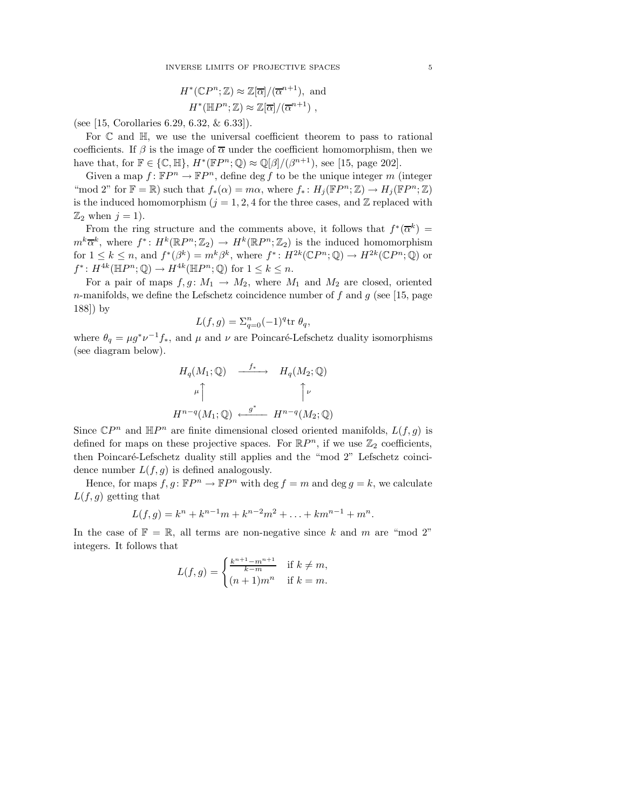$$
H^*(\mathbb{C}P^n; \mathbb{Z}) \approx \mathbb{Z}[\overline{\alpha}]/(\overline{\alpha}^{n+1}), \text{ and}
$$
  

$$
H^*(\mathbb{H}P^n; \mathbb{Z}) \approx \mathbb{Z}[\overline{\alpha}]/(\overline{\alpha}^{n+1}),
$$

(see [15, Corollaries 6.29, 6.32, & 6.33]).

For C and H, we use the universal coefficient theorem to pass to rational coefficients. If  $\beta$  is the image of  $\overline{\alpha}$  under the coefficient homomorphism, then we have that, for  $\mathbb{F} \in \{\mathbb{C}, \mathbb{H}\}, H^*(\mathbb{F}P^n; \mathbb{Q}) \approx \mathbb{Q}[\beta]/(\beta^{n+1})$ , see [15, page 202].

Given a map  $f: \mathbb{F}P^n \to \mathbb{F}P^n$ , define  $\deg f$  to be the unique integer m (integer "mod 2" for  $\mathbb{F} = \mathbb{R}$ ) such that  $f_*(\alpha) = m\alpha$ , where  $f_* : H_j(\mathbb{F}P^n; \mathbb{Z}) \to H_j(\mathbb{F}P^n; \mathbb{Z})$ is the induced homomorphism  $(j = 1, 2, 4$  for the three cases, and  $\mathbb{Z}$  replaced with  $\mathbb{Z}_2$  when  $j = 1$ ).

From the ring structure and the comments above, it follows that  $f^*(\overline{\alpha}^k)$  =  $m^k\overline{\alpha}^k$ , where  $f^*: H^k(\mathbb{R}P^n;\mathbb{Z}_2) \to H^k(\mathbb{R}P^n;\mathbb{Z}_2)$  is the induced homomorphism for  $1 \leq k \leq n$ , and  $f^*(\beta^k) = m^k \beta^k$ , where  $f^* \colon H^{2k}(\mathbb{C}P^n;\mathbb{Q}) \to H^{2k}(\mathbb{C}P^n;\mathbb{Q})$  or  $f^*: H^{4k}(\mathbb{H}P^n;\mathbb{Q}) \to H^{4k}(\mathbb{H}P^n;\mathbb{Q})$  for  $1 \leq k \leq n$ .

For a pair of maps  $f, g \colon M_1 \to M_2$ , where  $M_1$  and  $M_2$  are closed, oriented n-manifolds, we define the Lefschetz coincidence number of f and g (see [15, page 188]) by

$$
L(f,g) = \sum_{q=0}^{n} (-1)^q \text{tr } \theta_q,
$$

where  $\theta_q = \mu g^* \nu^{-1} f_*$ , and  $\mu$  and  $\nu$  are Poincaré-Lefschetz duality isomorphisms (see diagram below).

$$
H_q(M_1; \mathbb{Q}) \xrightarrow{f_*} H_q(M_2; \mathbb{Q})
$$
  

$$
\mu \uparrow \qquad \qquad \uparrow \qquad \qquad \downarrow
$$
  

$$
H^{n-q}(M_1; \mathbb{Q}) \xleftarrow{g^*} H^{n-q}(M_2; \mathbb{Q})
$$

Since  $\mathbb{C}P^n$  and  $\mathbb{H}P^n$  are finite dimensional closed oriented manifolds,  $L(f, g)$  is defined for maps on these projective spaces. For  $\mathbb{R}P^n$ , if we use  $\mathbb{Z}_2$  coefficients, then Poincaré-Lefschetz duality still applies and the "mod 2" Lefschetz coincidence number  $L(f, g)$  is defined analogously.

Hence, for maps  $f, g: \mathbb{F}P^n \to \mathbb{F}P^n$  with  $\deg f = m$  and  $\deg g = k$ , we calculate  $L(f, g)$  getting that

$$
L(f,g) = k^{n} + k^{n-1}m + k^{n-2}m^{2} + \ldots + km^{n-1} + m^{n}.
$$

In the case of  $\mathbb{F} = \mathbb{R}$ , all terms are non-negative since k and m are "mod 2" integers. It follows that

$$
L(f,g) = \begin{cases} \frac{k^{n+1} - m^{n+1}}{k-m} & \text{if } k \neq m, \\ (n+1)m^n & \text{if } k = m. \end{cases}
$$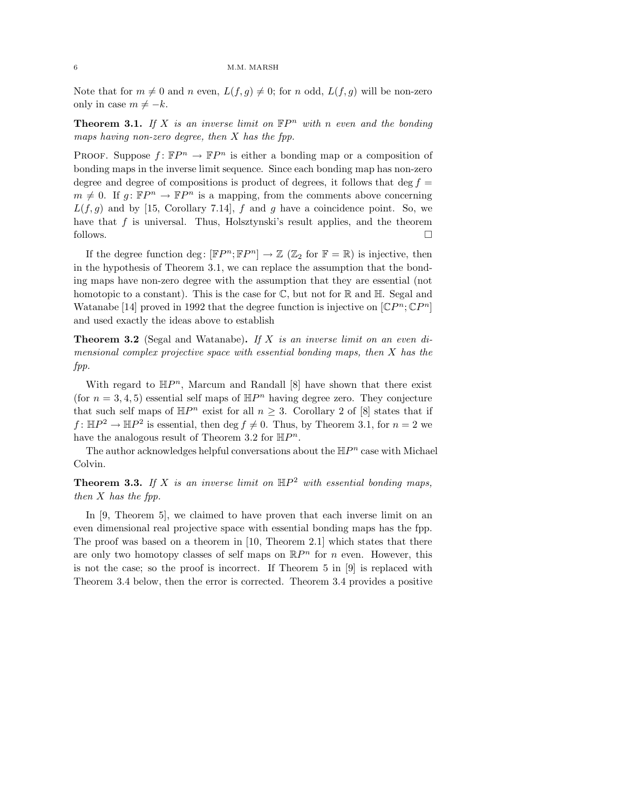Note that for  $m \neq 0$  and n even,  $L(f, g) \neq 0$ ; for n odd,  $L(f, g)$  will be non-zero only in case  $m \neq -k$ .

**Theorem 3.1.** If X is an inverse limit on  $\mathbb{F}P^n$  with n even and the bonding maps having non-zero degree, then  $X$  has the fpp.

PROOF. Suppose  $f: \mathbb{F}P^n \to \mathbb{F}P^n$  is either a bonding map or a composition of bonding maps in the inverse limit sequence. Since each bonding map has non-zero degree and degree of compositions is product of degrees, it follows that deg  $f =$  $m \neq 0$ . If  $g: \mathbb{F}P^n \to \mathbb{F}P^n$  is a mapping, from the comments above concerning  $L(f, g)$  and by [15, Corollary 7.14], f and g have a coincidence point. So, we have that  $f$  is universal. Thus, Holsztynski's result applies, and the theorem follows.  $\Box$ 

If the degree function deg:  $[\mathbb{F}P^n; \mathbb{F}P^n] \to \mathbb{Z}$  ( $\mathbb{Z}_2$  for  $\mathbb{F} = \mathbb{R}$ ) is injective, then in the hypothesis of Theorem 3.1, we can replace the assumption that the bonding maps have non-zero degree with the assumption that they are essential (not homotopic to a constant). This is the case for  $\mathbb C$ , but not for  $\mathbb R$  and  $\mathbb H$ . Segal and Watanabe [14] proved in 1992 that the degree function is injective on  $[\mathbb{C}P^n;\mathbb{C}P^n]$ and used exactly the ideas above to establish

**Theorem 3.2** (Segal and Watanabe). If X is an inverse limit on an even dimensional complex projective space with essential bonding maps, then  $X$  has the fpp.

With regard to  $\mathbb{H}P^n$ , Marcum and Randall [8] have shown that there exist (for  $n = 3, 4, 5$ ) essential self maps of  $\mathbb{H}P^n$  having degree zero. They conjecture that such self maps of  $\mathbb{H}P^n$  exist for all  $n \geq 3$ . Corollary 2 of [8] states that if  $f: \mathbb{H}P^2 \to \mathbb{H}P^2$  is essential, then deg  $f \neq 0$ . Thus, by Theorem 3.1, for  $n = 2$  we have the analogous result of Theorem 3.2 for  $\mathbb{H}P^n$ .

The author acknowledges helpful conversations about the  $\mathbb{H}P^n$  case with Michael Colvin.

**Theorem 3.3.** If X is an inverse limit on  $\mathbb{H}P^2$  with essential bonding maps, then X has the fpp.

In [9, Theorem 5], we claimed to have proven that each inverse limit on an even dimensional real projective space with essential bonding maps has the fpp. The proof was based on a theorem in [10, Theorem 2.1] which states that there are only two homotopy classes of self maps on  $\mathbb{R}P^n$  for n even. However, this is not the case; so the proof is incorrect. If Theorem 5 in [9] is replaced with Theorem 3.4 below, then the error is corrected. Theorem 3.4 provides a positive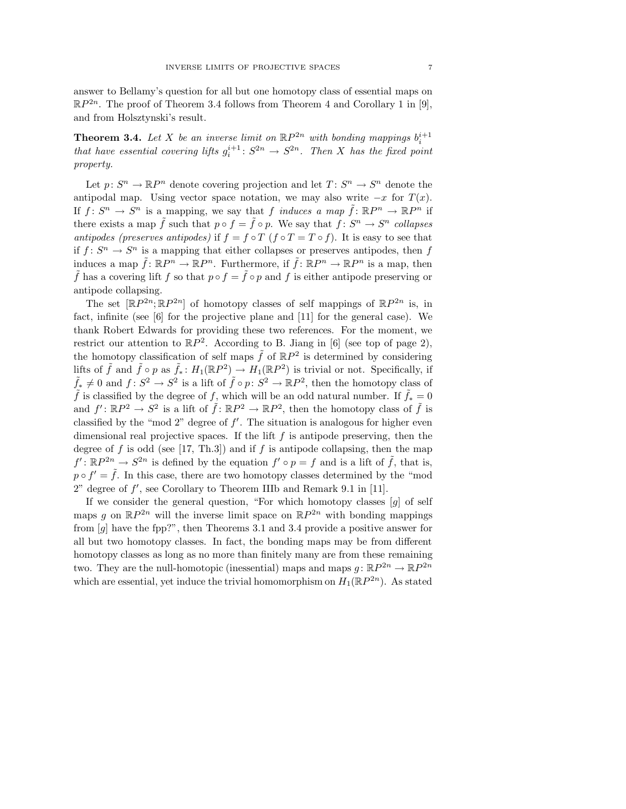answer to Bellamy's question for all but one homotopy class of essential maps on  $\mathbb{R}P^{2n}$ . The proof of Theorem 3.4 follows from Theorem 4 and Corollary 1 in [9], and from Holsztynski's result.

**Theorem 3.4.** Let X be an inverse limit on  $\mathbb{R}P^{2n}$  with bonding mappings  $b_i^{i+1}$ that have essential covering lifts  $g_i^{i+1}$ :  $S^{2n} \to S^{2n}$ . Then X has the fixed point property.

Let  $p: S^n \to \mathbb{R}P^n$  denote covering projection and let  $T: S^n \to S^n$  denote the antipodal map. Using vector space notation, we may also write  $-x$  for  $T(x)$ . If  $f: S^n \to S^n$  is a mapping, we say that f induces a map  $\tilde{f}: \mathbb{R}P^n \to \mathbb{R}P^n$  if there exists a map  $\tilde{f}$  such that  $p \circ f = \tilde{f} \circ p$ . We say that  $f: S^n \to S^n$  collapses antipodes (preserves antipodes) if  $f = f \circ T$  ( $f \circ T = T \circ f$ ). It is easy to see that if  $f: S^n \to S^n$  is a mapping that either collapses or preserves antipodes, then f induces a map  $\tilde{f}: \mathbb{R}P^n \to \mathbb{R}P^n$ . Furthermore, if  $\tilde{f}: \mathbb{R}P^n \to \mathbb{R}P^n$  is a map, then  $\tilde{f}$  has a covering lift f so that  $p \circ f = \tilde{f} \circ p$  and f is either antipode preserving or antipode collapsing.

The set  $[\mathbb{R}P^{2n}; \mathbb{R}P^{2n}]$  of homotopy classes of self mappings of  $\mathbb{R}P^{2n}$  is, in fact, infinite (see [6] for the projective plane and [11] for the general case). We thank Robert Edwards for providing these two references. For the moment, we restrict our attention to  $\mathbb{R}P^2$ . According to B. Jiang in [6] (see top of page 2), the homotopy classification of self maps  $\tilde{f}$  of  $\mathbb{R}P^2$  is determined by considering lifts of  $\tilde{f}$  and  $\tilde{f} \circ p$  as  $\tilde{f}_* \colon H_1(\mathbb{R}P^2) \to H_1(\mathbb{R}P^2)$  is trivial or not. Specifically, if  $\tilde{f}_* \neq 0$  and  $f: S^2 \to S^2$  is a lift of  $\tilde{f} \circ p: S^2 \to \mathbb{R}P^2$ , then the homotopy class of  $\tilde{f}$  is classified by the degree of f, which will be an odd natural number. If  $\tilde{f}_* = 0$ and  $f' : \mathbb{R}P^2 \to S^2$  is a lift of  $\tilde{f} : \mathbb{R}P^2 \to \mathbb{R}P^2$ , then the homotopy class of  $\tilde{f}$  is classified by the "mod 2" degree of  $f'$ . The situation is analogous for higher even dimensional real projective spaces. If the lift  $f$  is antipode preserving, then the degree of f is odd (see [17, Th.3]) and if f is antipode collapsing, then the map  $f' : \mathbb{R}P^{2n} \to S^{2n}$  is defined by the equation  $f' \circ p = f$  and is a lift of  $\tilde{f}$ , that is,  $p \circ f' = \tilde{f}$ . In this case, there are two homotopy classes determined by the "mod  $2$ " degree of  $f'$ , see Corollary to Theorem IIIb and Remark 9.1 in [11].

If we consider the general question, "For which homotopy classes  $[g]$  of self maps g on  $\mathbb{R}P^{2n}$  will the inverse limit space on  $\mathbb{R}P^{2n}$  with bonding mappings from [g] have the fpp?", then Theorems 3.1 and 3.4 provide a positive answer for all but two homotopy classes. In fact, the bonding maps may be from different homotopy classes as long as no more than finitely many are from these remaining two. They are the null-homotopic (inessential) maps and maps  $g: \mathbb{R}P^{2n} \to \mathbb{R}P^{2n}$ which are essential, yet induce the trivial homomorphism on  $H_1(\mathbb{R}P^{2n})$ . As stated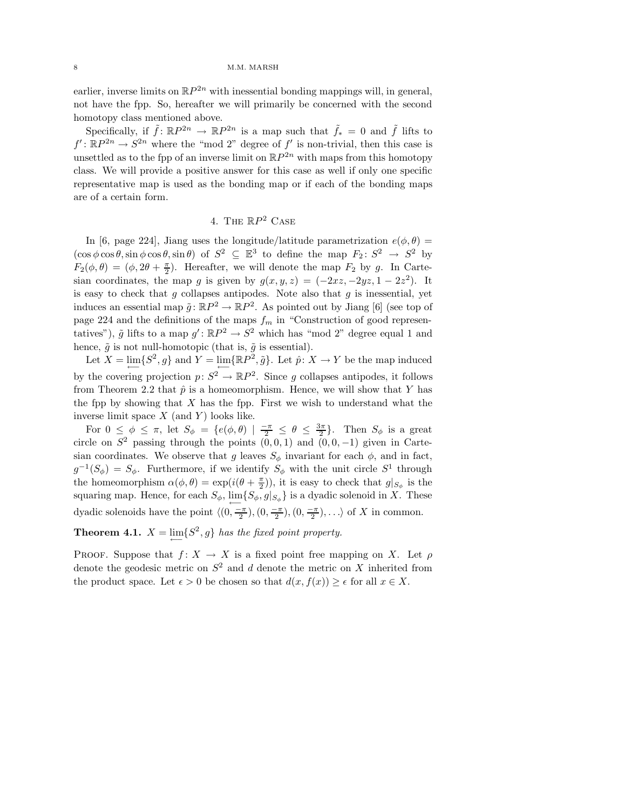earlier, inverse limits on  $\mathbb{R}P^{2n}$  with inessential bonding mappings will, in general, not have the fpp. So, hereafter we will primarily be concerned with the second homotopy class mentioned above.

Specifically, if  $\tilde{f}$ :  $\mathbb{R}P^{2n} \to \mathbb{R}P^{2n}$  is a map such that  $\tilde{f}_* = 0$  and  $\tilde{f}$  lifts to  $f' : \mathbb{R}P^{2n} \to S^{2n}$  where the "mod 2" degree of f' is non-trivial, then this case is unsettled as to the fpp of an inverse limit on  $\mathbb{R}P^{2n}$  with maps from this homotopy class. We will provide a positive answer for this case as well if only one specific representative map is used as the bonding map or if each of the bonding maps are of a certain form.

## 4. The  $\mathbb{R}P^2$  Case

In [6, page 224], Jiang uses the longitude/latitude parametrization  $e(\phi, \theta)$  =  $(\cos \phi \cos \theta, \sin \phi \cos \theta, \sin \theta)$  of  $S^2 \subseteq \mathbb{E}^3$  to define the map  $F_2 \colon S^2 \to S^2$  by  $F_2(\phi, \theta) = (\phi, 2\theta + \frac{\pi}{2})$ . Hereafter, we will denote the map  $F_2$  by g. In Cartesian coordinates, the map g is given by  $g(x, y, z) = (-2xz, -2yz, 1 - 2z^2)$ . It is easy to check that q collapses antipodes. Note also that  $q$  is inessential, yet induces an essential map  $\tilde{g} : \mathbb{R}P^2 \to \mathbb{R}P^2$ . As pointed out by Jiang [6] (see top of page 224 and the definitions of the maps  $f_m$  in "Construction of good representatives"),  $\tilde{g}$  lifts to a map  $g' : \mathbb{R}P^2 \to S^2$  which has "mod 2" degree equal 1 and hence,  $\tilde{g}$  is not null-homotopic (that is,  $\tilde{g}$  is essential).

Let  $X = \lim_{\longleftarrow} \{S^2, g\}$  and  $Y = \lim_{\longleftarrow} \{\mathbb{R}P^2, \tilde{g}\}$ . Let  $\hat{p}: X \to Y$  be the map induced by the covering projection  $p: S^2 \to \mathbb{R}P^2$ . Since g collapses antipodes, it follows from Theorem 2.2 that  $\hat{p}$  is a homeomorphism. Hence, we will show that Y has the fpp by showing that  $X$  has the fpp. First we wish to understand what the inverse limit space  $X$  (and  $Y$ ) looks like.

For  $0 \leq \phi \leq \pi$ , let  $S_{\phi} = \{e(\phi, \theta) \mid \frac{-\pi}{2} \leq \theta \leq \frac{3\pi}{2}\}\$ . Then  $S_{\phi}$  is a great circle on  $S^2$  passing through the points  $(0,0,1)$  and  $(0,0,-1)$  given in Cartesian coordinates. We observe that g leaves  $S_{\phi}$  invariant for each  $\phi$ , and in fact,  $g^{-1}(S_{\phi}) = S_{\phi}$ . Furthermore, if we identify  $S_{\phi}$  with the unit circle  $S^1$  through the homeomorphism  $\alpha(\phi, \theta) = \exp(i(\theta + \frac{\pi}{2}))$ , it is easy to check that  $g|_{S_{\phi}}$  is the squaring map. Hence, for each  $S_{\phi}$ ,  $\lim_{\longleftarrow} \{S_{\phi}, g|_{S_{\phi}}\}$  is a dyadic solenoid in X. These dyadic solenoids have the point  $\langle (0, \frac{-\pi}{2}), (0, \frac{-\pi}{2}), (0, \frac{-\pi}{2}), \ldots \rangle$  of X in common.

# **Theorem 4.1.**  $X = \lim_{\longleftarrow} \{S^2, g\}$  has the fixed point property.

PROOF. Suppose that  $f: X \to X$  is a fixed point free mapping on X. Let  $\rho$ denote the geodesic metric on  $S^2$  and d denote the metric on X inherited from the product space. Let  $\epsilon > 0$  be chosen so that  $d(x, f(x)) \geq \epsilon$  for all  $x \in X$ .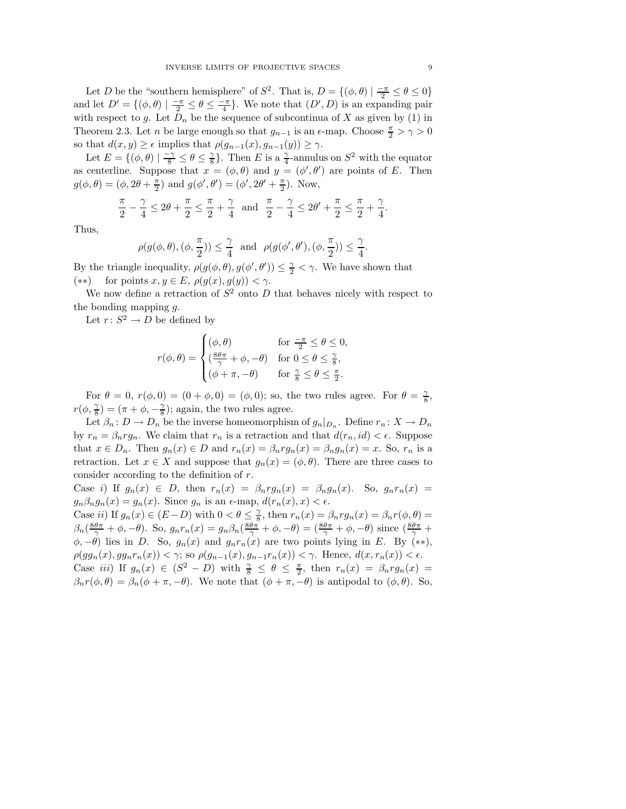Let D be the "southern hemisphere" of  $S^2$ . That is,  $D = \{(\phi, \theta) \mid \frac{-\pi}{2} \le \theta \le 0\}$ and let  $D' = \{(\phi, \theta) \mid \frac{-\pi}{2} \leq \theta \leq \frac{-\pi}{4}\}.$  We note that  $(D', D)$  is an expanding pair with respect to g. Let  $D_n$  be the sequence of subcontinua of X as given by (1) in Theorem 2.3. Let *n* be large enough so that  $g_{n-1}$  is an  $\epsilon$ -map. Choose  $\frac{\pi}{2} > \gamma > 0$ so that  $d(x, y) \ge \epsilon$  implies that  $\rho(g_{n-1}(x), g_{n-1}(y)) \ge \gamma$ .

Let  $E = \{(\phi, \theta) \mid \frac{-\gamma}{8} \le \theta \le \frac{\gamma}{8}$  $\frac{\gamma}{8}$ . Then E is a  $\frac{\gamma}{4}$ -annulus on  $S^2$  with the equator as centerline. Suppose that  $x = (\phi, \theta)$  and  $y = (\phi', \theta')$  are points of E. Then  $g(\phi, \theta) = (\phi, 2\theta + \frac{\pi}{2})$  and  $g(\phi', \theta') = (\phi', 2\theta' + \frac{\pi}{2})$ . Now,

$$
\frac{\pi}{2} - \frac{\gamma}{4} \le 2\theta + \frac{\pi}{2} \le \frac{\pi}{2} + \frac{\gamma}{4} \quad \text{and} \quad \frac{\pi}{2} - \frac{\gamma}{4} \le 2\theta' + \frac{\pi}{2} \le \frac{\pi}{2} + \frac{\gamma}{4}.
$$

Thus,

$$
\rho(g(\phi,\theta),(\phi,\frac{\pi}{2})) \leq \frac{\gamma}{4} \text{ and } \rho(g(\phi',\theta'),(\phi,\frac{\pi}{2})) \leq \frac{\gamma}{4}.
$$

By the triangle inequality,  $\rho(g(\phi, \theta), g(\phi', \theta')) \leq \frac{\gamma}{2} < \gamma$ . We have shown that (\*\*) for points  $x, y \in E$ ,  $\rho(g(x), g(y)) < \gamma$ .

We now define a retraction of  $S^2$  onto D that behaves nicely with respect to the bonding mapping g.

Let  $r: S^2 \to D$  be defined by

$$
r(\phi, \theta) = \begin{cases} (\phi, \theta) & \text{for } \frac{-\pi}{2} \leq \theta \leq 0, \\ (\frac{8\theta\pi}{\gamma} + \phi, -\theta) & \text{for } 0 \leq \theta \leq \frac{\gamma}{8}, \\ (\phi + \pi, -\theta) & \text{for } \frac{\gamma}{8} \leq \theta \leq \frac{\pi}{2}. \end{cases}
$$

For  $\theta = 0$ ,  $r(\phi, 0) = (0 + \phi, 0) = (\phi, 0)$ ; so, the two rules agree. For  $\theta = \frac{\gamma}{8}$  $\frac{\gamma}{8}$ ,  $r(\phi, \frac{\gamma}{8}) = (\pi + \phi, -\frac{\gamma}{8})$ ; again, the two rules agree.

Let  $\beta_n: D \to D_n$  be the inverse homeomorphism of  $g_n|_{D_n}$ . Define  $r_n: X \to D_n$ by  $r_n = \beta_n r g_n$ . We claim that  $r_n$  is a retraction and that  $d(r_n, id) < \epsilon$ . Suppose that  $x \in D_n$ . Then  $g_n(x) \in D$  and  $r_n(x) = \beta_n r g_n(x) = \beta_n g_n(x) = x$ . So,  $r_n$  is a retraction. Let  $x \in X$  and suppose that  $g_n(x) = (\phi, \theta)$ . There are three cases to consider according to the definition of r.

Case i) If  $g_n(x) \in D$ , then  $r_n(x) = \beta_n r g_n(x) = \beta_n g_n(x)$ . So,  $g_n r_n(x) =$  $g_n\beta_n g_n(x) = g_n(x)$ . Since  $g_n$  is an  $\epsilon$ -map,  $d(r_n(x), x) < \epsilon$ .

Case *ii*) If  $g_n(x) \in (E-D)$  with  $0 < \theta \leq \frac{\gamma}{8}$  $\frac{\gamma}{8}$ , then  $r_n(x) = \beta_n r g_n(x) = \beta_n r(\phi, \theta) =$  $\beta_n(\frac{8\theta\pi}{\gamma}+\phi,-\theta)$ . So,  $g_nr_n(x) = g_n\beta_n(\frac{8\theta\pi}{\gamma}+\phi,-\theta) = (\frac{8\theta\pi}{\gamma}+\phi,-\theta)$  since  $(\frac{8\theta\pi}{\gamma}+\theta,-\theta)$  $\phi, -\theta$ ) lies in D. So,  $g_n(x)$  and  $g_n r_n(x)$  are two points lying in E. By (\*\*),  $\rho(gg_n(x), gg_nr_n(x)) < \gamma$ ; so  $\rho(g_{n-1}(x), g_{n-1}r_n(x)) < \gamma$ . Hence,  $d(x, r_n(x)) < \epsilon$ . Case *iii*) If  $g_n(x) \in (S^2 - D)$  with  $\frac{\gamma}{8} \le \theta \le \frac{\pi}{2}$ , then  $r_n(x) = \beta_n r g_n(x) =$  $\beta_n r(\phi, \theta) = \beta_n(\phi + \pi, -\theta)$ . We note that  $(\phi + \pi, -\theta)$  is antipodal to  $(\phi, \theta)$ . So,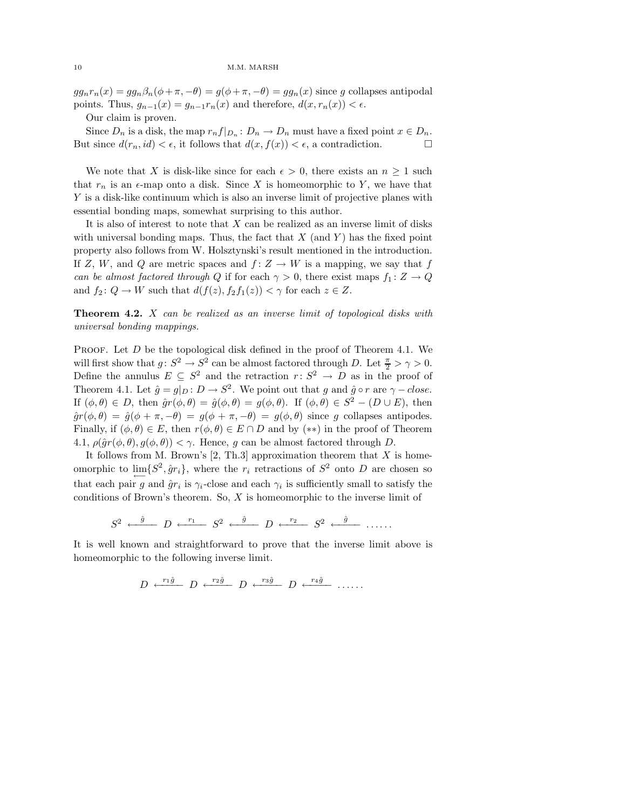#### 10 M.M. MARSH

 $g g_n r_n(x) = g_n \beta_n (\phi + \pi, -\theta) = g(\phi + \pi, -\theta) = g_n(x)$  since g collapses antipodal points. Thus,  $g_{n-1}(x) = g_{n-1}r_n(x)$  and therefore,  $d(x, r_n(x)) < \epsilon$ .

Our claim is proven.

Since  $D_n$  is a disk, the map  $r_n f|_{D_n}: D_n \to D_n$  must have a fixed point  $x \in D_n$ . But since  $d(r_n, id) < \epsilon$ , it follows that  $d(x, f(x)) < \epsilon$ , a contradiction.

We note that X is disk-like since for each  $\epsilon > 0$ , there exists an  $n \geq 1$  such that  $r_n$  is an  $\epsilon$ -map onto a disk. Since X is homeomorphic to Y, we have that Y is a disk-like continuum which is also an inverse limit of projective planes with essential bonding maps, somewhat surprising to this author.

It is also of interest to note that  $X$  can be realized as an inverse limit of disks with universal bonding maps. Thus, the fact that  $X$  (and  $Y$ ) has the fixed point property also follows from W. Holsztynski's result mentioned in the introduction. If Z, W, and Q are metric spaces and  $f: Z \to W$  is a mapping, we say that f can be almost factored through Q if for each  $\gamma > 0$ , there exist maps  $f_1 : Z \to Q$ and  $f_2: Q \to W$  such that  $d(f(z), f_2f_1(z)) < \gamma$  for each  $z \in Z$ .

**Theorem 4.2.**  $X$  can be realized as an inverse limit of topological disks with universal bonding mappings.

PROOF. Let  $D$  be the topological disk defined in the proof of Theorem 4.1. We will first show that  $g: S^2 \to S^2$  can be almost factored through D. Let  $\frac{\pi}{2} > \gamma > 0$ . Define the annulus  $E \subseteq S^2$  and the retraction  $r: S^2 \to D$  as in the proof of Theorem 4.1. Let  $\hat{g} = g|_D : D \to S^2$ . We point out that g and  $\hat{g} \circ r$  are  $\gamma - close$ . If  $(\phi, \theta) \in D$ , then  $\hat{g}r(\phi, \theta) = \hat{g}(\phi, \theta) = g(\phi, \theta)$ . If  $(\phi, \theta) \in S^2 - (D \cup E)$ , then  $\hat{g}r(\phi,\theta) = \hat{g}(\phi+\pi,-\theta) = g(\phi+\pi,-\theta) = g(\phi,\theta)$  since g collapses antipodes. Finally, if  $(\phi, \theta) \in E$ , then  $r(\phi, \theta) \in E \cap D$  and by  $(**)$  in the proof of Theorem 4.1,  $\rho(\hat{g}r(\phi,\theta), g(\phi,\theta)) < \gamma$ . Hence, g can be almost factored through D.

It follows from M. Brown's  $[2, Th.3]$  approximation theorem that X is homeomorphic to  $\lim_{\longleftarrow} \{S^2, \hat{g}r_i\}$ , where the  $r_i$  retractions of  $S^2$  onto D are chosen so that each pair g and  $\hat{g}r_i$  is  $\gamma_i$ -close and each  $\gamma_i$  is sufficiently small to satisfy the conditions of Brown's theorem. So, X is homeomorphic to the inverse limit of

$$
S^2 \xleftarrow{\hat{g}} D \xleftarrow{r_1} S^2 \xleftarrow{\hat{g}} D \xleftarrow{r_2} S^2 \xleftarrow{\hat{g}} \dots
$$

It is well known and straightforward to prove that the inverse limit above is homeomorphic to the following inverse limit.

$$
D \xleftarrow{r_1 \hat{g}} D \xleftarrow{r_2 \hat{g}} D \xleftarrow{r_3 \hat{g}} D \xleftarrow{r_4 \hat{g}} \dots
$$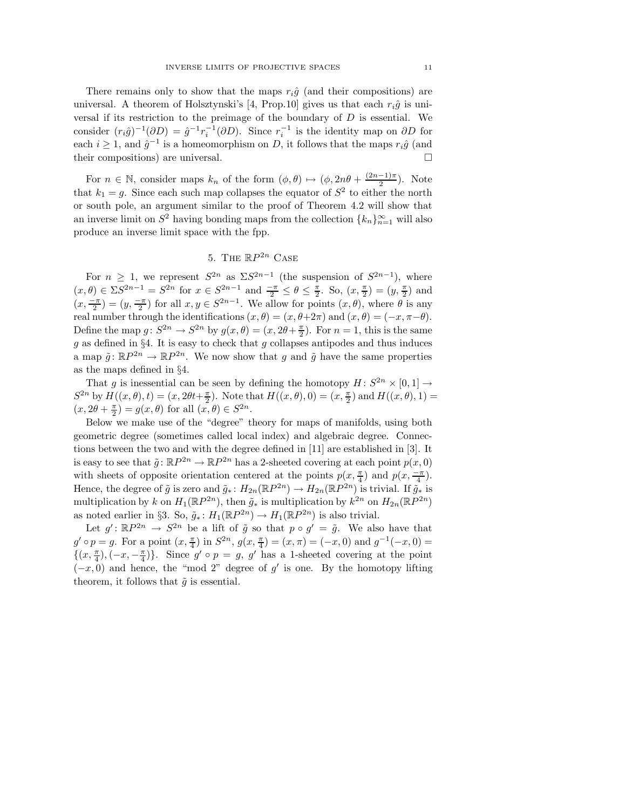There remains only to show that the maps  $r_i\hat{g}$  (and their compositions) are universal. A theorem of Holsztynski's [4, Prop.10] gives us that each  $r_i\hat{g}$  is universal if its restriction to the preimage of the boundary of  $D$  is essential. We consider  $(r_i \hat{g})^{-1}(\partial D) = \hat{g}^{-1} r_i^{-1}(\partial D)$ . Since  $r_i^{-1}$  is the identity map on  $\partial D$  for each  $i \geq 1$ , and  $\hat{g}^{-1}$  is a homeomorphism on D, it follows that the maps  $r_i \hat{g}$  (and their compositions) are universal.

For  $n \in \mathbb{N}$ , consider maps  $k_n$  of the form  $(\phi, \theta) \mapsto (\phi, 2n\theta + \frac{(2n-1)\pi}{2})$  $\frac{-1}{2}$ ). Note that  $k_1 = g$ . Since each such map collapses the equator of  $S^2$  to either the north or south pole, an argument similar to the proof of Theorem 4.2 will show that an inverse limit on  $S^2$  having bonding maps from the collection  $\{k_n\}_{n=1}^{\infty}$  will also produce an inverse limit space with the fpp.

## 5. The  $\mathbb{R}P^{2n}$  Case

For  $n \geq 1$ , we represent  $S^{2n}$  as  $\Sigma S^{2n-1}$  (the suspension of  $S^{2n-1}$ ), where  $(x, \theta) \in \Sigma S^{2n-1} = S^{2n}$  for  $x \in S^{2n-1}$  and  $\frac{-\pi}{2} \le \theta \le \frac{\pi}{2}$ . So,  $(x, \frac{\pi}{2}) = (y, \frac{\pi}{2})$  and  $(x, \frac{-\pi}{2}) = (y, \frac{-\pi}{2})$  for all  $x, y \in S^{2n-1}$ . We allow for points  $(x, \theta)$ , where  $\theta$  is any real number through the identifications  $(x, \theta) = (x, \theta + 2\pi)$  and  $(x, \theta) = (-x, \pi - \theta)$ . Define the map  $g: S^{2n} \to S^{2n}$  by  $g(x, \theta) = (x, 2\theta + \frac{\pi}{2})$ . For  $n = 1$ , this is the same g as defined in §4. It is easy to check that g collapses antipodes and thus induces a map  $\tilde{g} : \mathbb{R}P^{2n} \to \mathbb{R}P^{2n}$ . We now show that g and  $\tilde{g}$  have the same properties as the maps defined in §4.

That g is inessential can be seen by defining the homotopy  $H: S^{2n} \times [0,1] \to$  $S^{2n}$  by  $H((x, \theta), t) = (x, 2\theta t + \frac{\pi}{2})$ . Note that  $H((x, \theta), 0) = (x, \frac{\pi}{2})$  and  $H((x, \theta), 1) =$  $(x, 2\theta + \frac{\pi}{2}) = g(x, \theta)$  for all  $(x, \theta) \in S^{2n}$ .

Below we make use of the "degree" theory for maps of manifolds, using both geometric degree (sometimes called local index) and algebraic degree. Connections between the two and with the degree defined in [11] are established in [3]. It is easy to see that  $\tilde{g} \colon \mathbb{R}P^{2n} \to \mathbb{R}P^{2n}$  has a 2-sheeted covering at each point  $p(x, 0)$ with sheets of opposite orientation centered at the points  $p(x, \frac{\pi}{4})$  and  $p(x, \frac{-\pi}{4})$ . Hence, the degree of  $\tilde{g}$  is zero and  $\tilde{g}_*$ :  $H_{2n}(\mathbb{R}P^{2n}) \to H_{2n}(\mathbb{R}P^{2n})$  is trivial. If  $\tilde{g}_*$  is multiplication by k on  $H_1(\mathbb{R}P^{2n})$ , then  $\tilde{g}_*$  is multiplication by  $k^{2n}$  on  $H_{2n}(\mathbb{R}P^{2n})$ as noted earlier in §3. So,  $\tilde{g}_* : H_1(\mathbb{R}P^{2n}) \to H_1(\mathbb{R}P^{2n})$  is also trivial.

Let  $g' : \mathbb{R}P^{2n} \to S^{2n}$  be a lift of  $\tilde{g}$  so that  $p \circ g' = \tilde{g}$ . We also have that  $g' \circ p = g$ . For a point  $(x, \frac{\pi}{4})$  in  $S^{2n}$ ,  $g(x, \frac{\pi}{4}) = (x, \pi) = (-x, 0)$  and  $g^{-1}(-x, 0) =$  $\{(x,\frac{\pi}{4}),(-x,-\frac{\pi}{4})\}\.$  Since  $g' \circ p = g, g'$  has a 1-sheeted covering at the point  $(-x, 0)$  and hence, the "mod 2" degree of g' is one. By the homotopy lifting theorem, it follows that  $\tilde{g}$  is essential.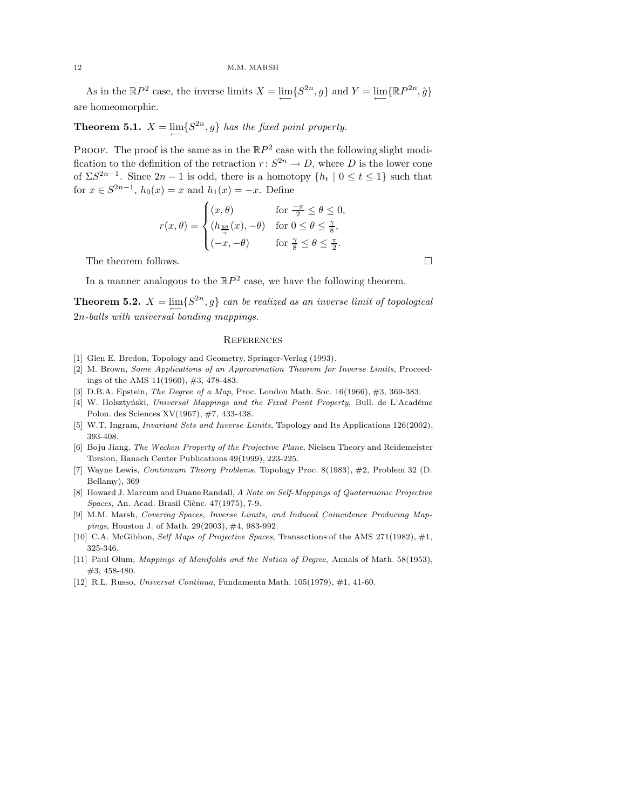As in the  $\mathbb{R}P^2$  case, the inverse limits  $X = \lim_{\longleftarrow} \{S^{2n}, g\}$  and  $Y = \lim_{\longleftarrow} \{\mathbb{R}P^{2n}, \tilde{g}\}$ are homeomorphic.

**Theorem 5.1.**  $X = \lim_{n \to \infty} \{S^{2n}, g\}$  has the fixed point property.

**PROOF.** The proof is the same as in the  $\mathbb{R}P^2$  case with the following slight modification to the definition of the retraction  $r: S^{2n} \to D$ , where D is the lower cone of  $\Sigma S^{2n-1}$ . Since  $2n-1$  is odd, there is a homotopy  $\{h_t \mid 0 \le t \le 1\}$  such that for  $x \in S^{2n-1}$ ,  $h_0(x) = x$  and  $h_1(x) = -x$ . Define

$$
r(x,\theta) = \begin{cases} (x,\theta) & \text{for } \frac{-\pi}{2} \le \theta \le 0, \\ (h_{\frac{8\theta}{\gamma}}(x), -\theta) & \text{for } 0 \le \theta \le \frac{\gamma}{8}, \\ (-x, -\theta) & \text{for } \frac{\gamma}{8} \le \theta \le \frac{\pi}{2}. \end{cases}
$$

The theorem follows.

In a manner analogous to the  $\mathbb{R}P^2$  case, we have the following theorem.

**Theorem 5.2.**  $X = \lim_{n \to \infty} \{S^{2n}, g\}$  can be realized as an inverse limit of topological 2n-balls with universal bonding mappings.

#### **REFERENCES**

- [1] Glen E. Bredon, Topology and Geometry, Springer-Verlag (1993).
- [2] M. Brown, Some Applications of an Approximation Theorem for Inverse Limits, Proceedings of the AMS 11(1960), #3, 478-483.
- [3] D.B.A. Epstein, *The Degree of a Map*, Proc. London Math. Soc. 16(1966), #3, 369-383.
- [4] W. Holsztyński, Universal Mappings and the Fixed Point Property, Bull. de L'Académe Polon. des Sciences XV(1967), #7, 433-438.
- [5] W.T. Ingram, Invariant Sets and Inverse Limits, Topology and Its Applications 126(2002), 393-408.
- [6] Boju Jiang, The Wecken Property of the Projective Plane, Nielsen Theory and Reidemeister Torsion, Banach Center Publications 49(1999), 223-225.
- [7] Wayne Lewis, Continuum Theory Problems, Topology Proc. 8(1983), #2, Problem 32 (D. Bellamy), 369
- [8] Howard J. Marcum and Duane Randall, A Note on Self-Mappings of Quaternionic Projective Spaces, An. Acad. Brasil Ciênc. 47(1975), 7-9.
- [9] M.M. Marsh, Covering Spaces, Inverse Limits, and Induced Coincidence Producing Mappings, Houston J. of Math. 29(2003), #4, 983-992.
- [10] C.A. McGibbon, Self Maps of Projective Spaces, Transactions of the AMS 271(1982), #1, 325-346.
- [11] Paul Olum, Mappings of Manifolds and the Notion of Degree, Annals of Math. 58(1953), #3, 458-480.
- [12] R.L. Russo, Universal Continua, Fundamenta Math. 105(1979), #1, 41-60.